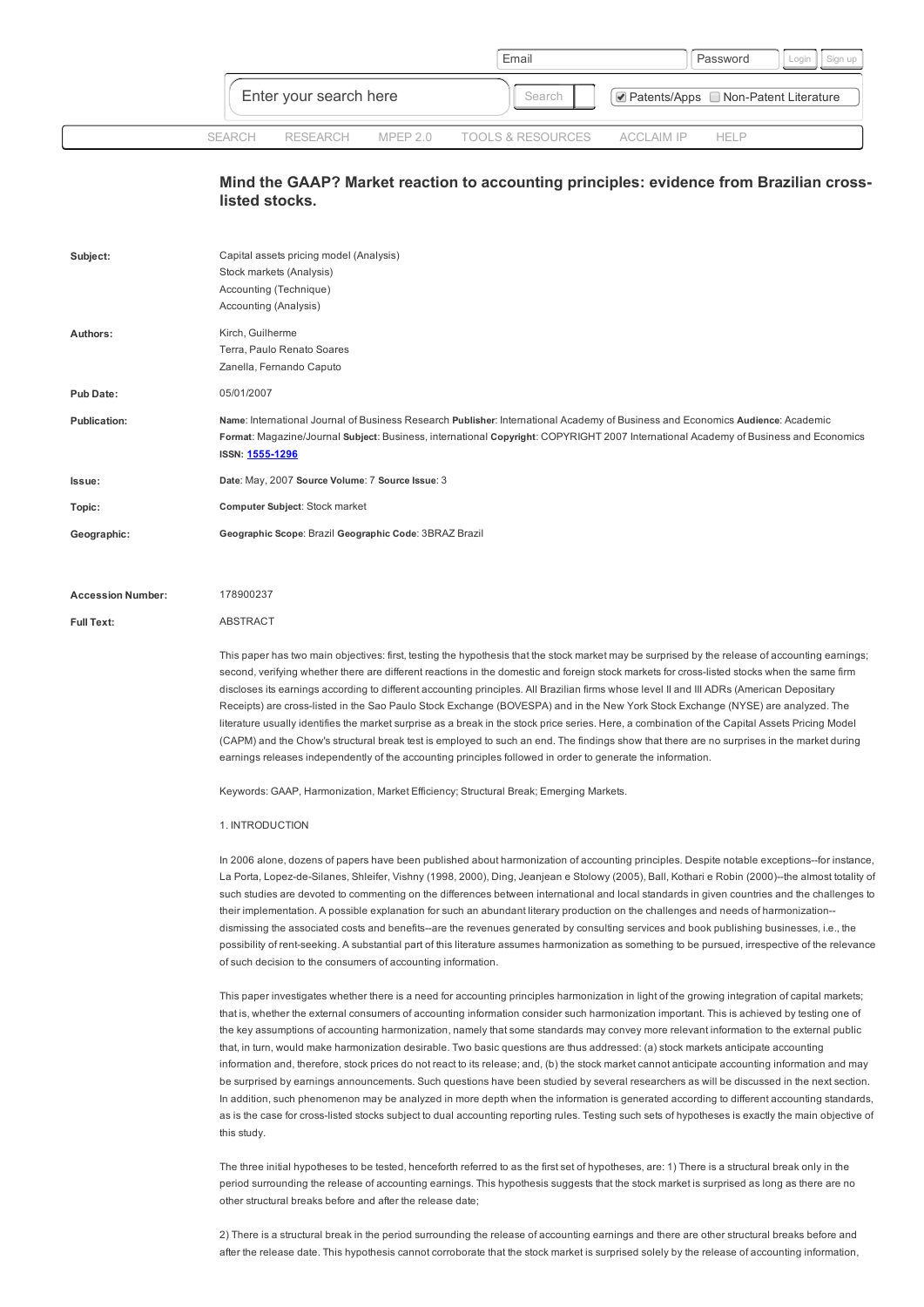|                        |          |  | Email                                 |                                    | Password | Login |
|------------------------|----------|--|---------------------------------------|------------------------------------|----------|-------|
| Enter your search here |          |  | Search                                | Patents/Apps Non-Patent Literature |          |       |
| SEARCH                 | RESEARCH |  | MPEP 2.0 TOOLS & RESOURCES ACCLAIM IP |                                    | HFI P    |       |

# Mind the GAAP? Market reaction to accounting principles: evidence from Brazilian crosslisted stocks.

| Subject:            | Capital assets pricing model (Analysis)<br>Stock markets (Analysis)<br>Accounting (Technique)<br>Accounting (Analysis)                                                                                                                                                                          |
|---------------------|-------------------------------------------------------------------------------------------------------------------------------------------------------------------------------------------------------------------------------------------------------------------------------------------------|
| Authors:            | Kirch, Guilherme<br>Terra, Paulo Renato Soares<br>Zanella, Fernando Caputo                                                                                                                                                                                                                      |
| <b>Pub Date:</b>    | 05/01/2007                                                                                                                                                                                                                                                                                      |
| <b>Publication:</b> | Name: International Journal of Business Research Publisher: International Academy of Business and Economics Audience: Academic<br>Format: Magazine/Journal Subject: Business, international Copyright: COPYRIGHT 2007 International Academy of Business and Economics<br><b>ISSN: 1555-1296</b> |
| Issue:              | Date: May, 2007 Source Volume: 7 Source Issue: 3                                                                                                                                                                                                                                                |
| Topic:              | Computer Subject: Stock market                                                                                                                                                                                                                                                                  |
| Geographic:         | Geographic Scope: Brazil Geographic Code: 3BRAZ Brazil                                                                                                                                                                                                                                          |

#### Full Text: Accession Number: 178900237 **ABSTRACT**

This paper has two main objectives: first, testing the hypothesis that the stock market may be surprised by the release of accounting earnings; second, verifying whether there are different reactions in the domestic and foreign stock markets for cross-listed stocks when the same firm discloses its earnings according to different accounting principles. All Brazilian firms whose level II and III ADRs (American Depositary Receipts) are crosslisted in the Sao Paulo Stock Exchange (BOVESPA) and in the New York Stock Exchange (NYSE) are analyzed. The literature usually identifies the market surprise as a break in the stock price series. Here, a combination of the Capital Assets Pricing Model (CAPM) and the Chow's structural break test is employed to such an end. The findings show that there are no surprises in the market during earnings releases independently of the accounting principles followed in order to generate the information.

Keywords: GAAP, Harmonization, Market Efficiency; Structural Break; Emerging Markets.

### 1. INTRODUCTION

In 2006 alone, dozens of papers have been published about harmonization of accounting principles. Despite notable exceptions--for instance, La Porta, Lopez-de-Silanes, Shleifer, Vishny (1998, 2000), Ding, Jeanjean e Stolowy (2005), Ball, Kothari e Robin (2000)--the almost totality of such studies are devoted to commenting on the differences between international and local standards in given countries and the challenges to their implementation. A possible explanation for such an abundant literary production on the challenges and needs of harmonization dismissing the associated costs and benefits--are the revenues generated by consulting services and book publishing businesses, i.e., the possibility of rent-seeking. A substantial part of this literature assumes harmonization as something to be pursued, irrespective of the relevance of such decision to the consumers of accounting information.

This paper investigates whether there is a need for accounting principles harmonization in light of the growing integration of capital markets; that is, whether the external consumers of accounting information consider such harmonization important. This is achieved by testing one of the key assumptions of accounting harmonization, namely that some standards may convey more relevant information to the external public that, in turn, would make harmonization desirable. Two basic questions are thus addressed: (a) stock markets anticipate accounting information and, therefore, stock prices do not react to its release; and, (b) the stock market cannot anticipate accounting information and may be surprised by earnings announcements. Such questions have been studied by several researchers as will be discussed in the next section. In addition, such phenomenon may be analyzed in more depth when the information is generated according to different accounting standards, as is the case for cross-listed stocks subject to dual accounting reporting rules. Testing such sets of hypotheses is exactly the main objective of this study.

The three initial hypotheses to be tested, henceforth referred to as the first set of hypotheses, are: 1) There is a structural break only in the period surrounding the release of accounting earnings. This hypothesis suggests that the stock market is surprised as long as there are no other structural breaks before and after the release date;

2) There is a structural break in the period surrounding the release of accounting earnings and there are other structural breaks before and after the release date. This hypothesis cannot corroborate that the stock market is surprised solely by the release of accounting information,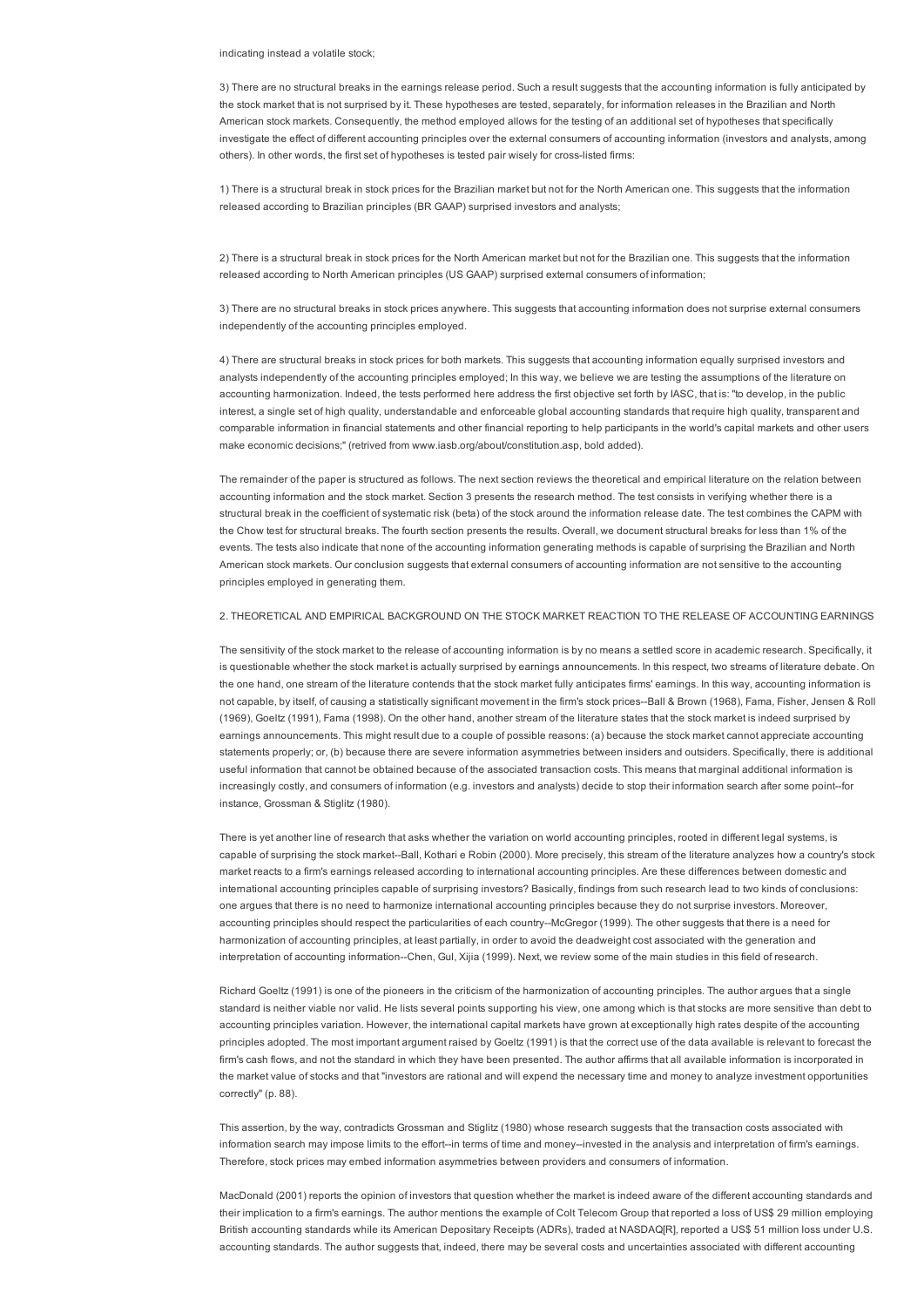indicating instead a volatile stock;

3) There are no structural breaks in the earnings release period. Such a result suggests that the accounting information is fully anticipated by the stock market that is not surprised by it. These hypotheses are tested, separately, for information releases in the Brazilian and North American stock markets. Consequently, the method employed allows for the testing of an additional set of hypotheses that specifically investigate the effect of different accounting principles over the external consumers of accounting information (investors and analysts, among others). In other words, the first set of hypotheses is tested pair wisely for cross-listed firms:

1) There is a structural break in stock prices for the Brazilian market but not for the North American one. This suggests that the information released according to Brazilian principles (BR GAAP) surprised investors and analysts;

2) There is a structural break in stock prices for the North American market but not for the Brazilian one. This suggests that the information released according to North American principles (US GAAP) surprised external consumers of information;

3) There are no structural breaks in stock prices anywhere. This suggests that accounting information does not surprise external consumers independently of the accounting principles employed.

4) There are structural breaks in stock prices for both markets. This suggests that accounting information equally surprised investors and analysts independently of the accounting principles employed; In this way, we believe we are testing the assumptions of the literature on accounting harmonization. Indeed, the tests performed here address the first objective set forth by IASC, that is: "to develop, in the public interest, a single set of high quality, understandable and enforceable global accounting standards that require high quality, transparent and comparable information in financial statements and other financial reporting to help participants in the world's capital markets and other users make economic decisions;" (retrived from www.iasb.org/about/constitution.asp, bold added).

The remainder of the paper is structured as follows. The next section reviews the theoretical and empirical literature on the relation between accounting information and the stock market. Section 3 presents the research method. The test consists in verifying whether there is a structural break in the coefficient of systematic risk (beta) of the stock around the information release date. The test combines the CAPM with the Chow test for structural breaks. The fourth section presents the results. Overall, we document structural breaks for less than 1% of the events. The tests also indicate that none of the accounting information generating methods is capable of surprising the Brazilian and North American stock markets. Our conclusion suggests that external consumers of accounting information are not sensitive to the accounting principles employed in generating them.

2. THEORETICAL AND EMPIRICAL BACKGROUND ON THE STOCK MARKET REACTION TO THE RELEASE OF ACCOUNTING EARNINGS

The sensitivity of the stock market to the release of accounting information is by no means a settled score in academic research. Specifically, it is questionable whether the stock market is actually surprised by earnings announcements. In this respect, two streams of literature debate. On the one hand, one stream of the literature contends that the stock market fully anticipates firms' earnings. In this way, accounting information is not capable, by itself, of causing a statistically significant movement in the firm's stock prices--Ball & Brown (1968), Fama, Fisher, Jensen & Roll (1969), Goeltz (1991), Fama (1998). On the other hand, another stream of the literature states that the stock market is indeed surprised by earnings announcements. This might result due to a couple of possible reasons: (a) because the stock market cannot appreciate accounting statements properly; or, (b) because there are severe information asymmetries between insiders and outsiders. Specifically, there is additional useful information that cannot be obtained because of the associated transaction costs. This means that marginal additional information is increasingly costly, and consumers of information (e.g. investors and analysts) decide to stop their information search after some point-for instance, Grossman & Stiglitz (1980).

There is yet another line of research that asks whether the variation on world accounting principles, rooted in different legal systems, is capable of surprising the stock market--Ball, Kothari e Robin (2000). More precisely, this stream of the literature analyzes how a country's stock market reacts to a firm's earnings released according to international accounting principles. Are these differences between domestic and international accounting principles capable of surprising investors? Basically, findings from such research lead to two kinds of conclusions: one argues that there is no need to harmonize international accounting principles because they do not surprise investors. Moreover, accounting principles should respect the particularities of each country-McGregor (1999). The other suggests that there is a need for harmonization of accounting principles, at least partially, in order to avoid the deadweight cost associated with the generation and interpretation of accounting information--Chen, Gul, Xijia (1999). Next, we review some of the main studies in this field of research.

Richard Goeltz (1991) is one of the pioneers in the criticism of the harmonization of accounting principles. The author argues that a single standard is neither viable nor valid. He lists several points supporting his view, one among which is that stocks are more sensitive than debt to accounting principles variation. However, the international capital markets have grown at exceptionally high rates despite of the accounting principles adopted. The most important argument raised by Goeltz (1991) is that the correct use of the data available is relevant to forecast the firm's cash flows, and not the standard in which they have been presented. The author affirms that all available information is incorporated in the market value of stocks and that "investors are rational and will expend the necessary time and money to analyze investment opportunities correctly" (p. 88).

This assertion, by the way, contradicts Grossman and Stiglitz (1980) whose research suggests that the transaction costs associated with information search may impose limits to the effort--in terms of time and money--invested in the analysis and interpretation of firm's earnings. Therefore, stock prices may embed information asymmetries between providers and consumers of information.

MacDonald (2001) reports the opinion of investors that question whether the market is indeed aware of the different accounting standards and their implication to a firm's earnings. The author mentions the example of Colt Telecom Group that reported a loss of US\$ 29 million employing British accounting standards while its American Depositary Receipts (ADRs), traded at NASDAQ[R], reported a US\$ 51 million loss under U.S. accounting standards. The author suggests that, indeed, there may be several costs and uncertainties associated with different accounting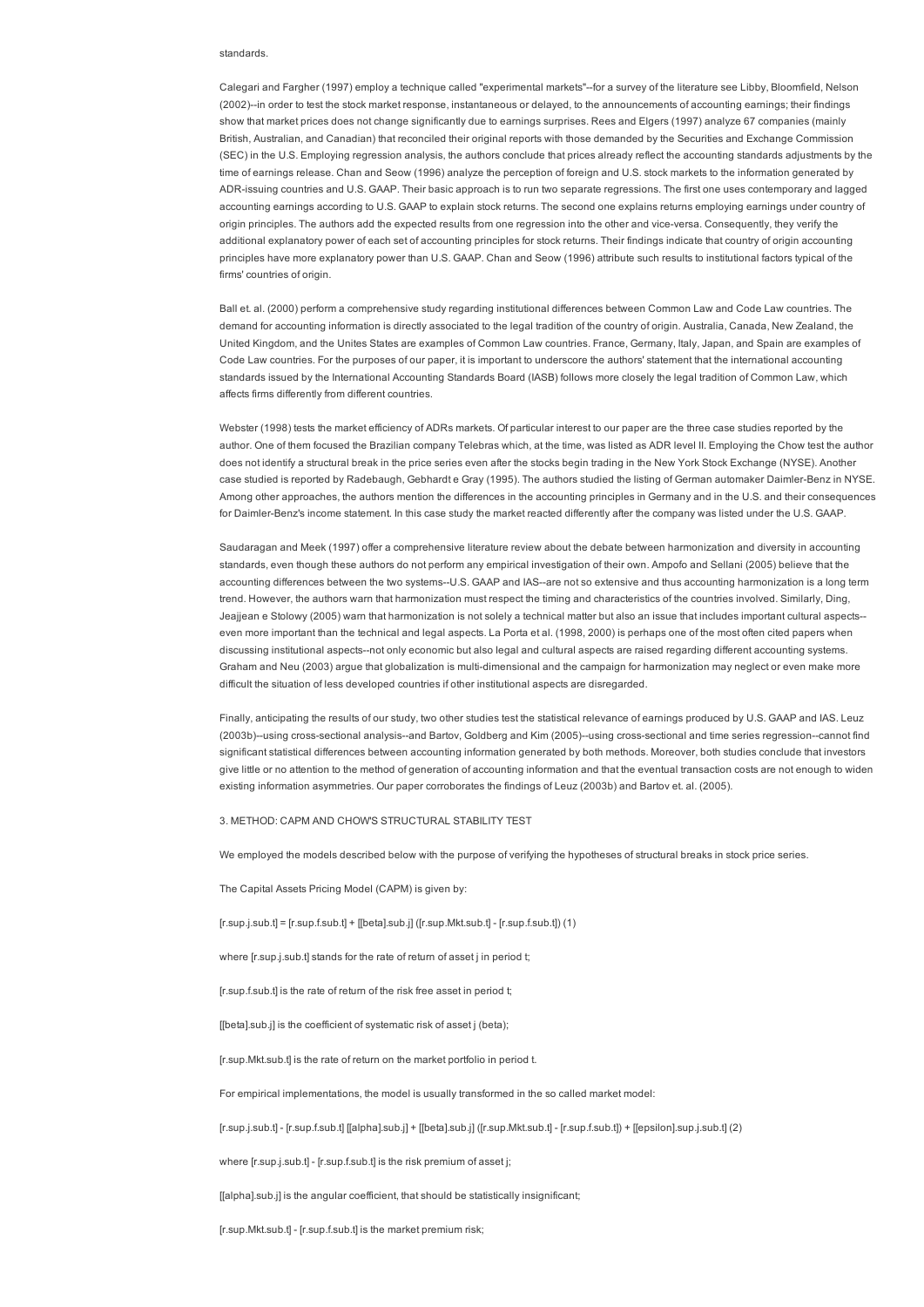### standards.

Calegari and Fargher (1997) employ a technique called "experimental markets"--for a survey of the literature see Libby, Bloomfield, Nelson (2002)--in order to test the stock market response, instantaneous or delayed, to the announcements of accounting earnings; their findings show that market prices does not change significantly due to earnings surprises. Rees and Elgers (1997) analyze 67 companies (mainly British, Australian, and Canadian) that reconciled their original reports with those demanded by the Securities and Exchange Commission (SEC) in the U.S. Employing regression analysis, the authors conclude that prices already reflect the accounting standards adjustments by the time of earnings release. Chan and Seow (1996) analyze the perception of foreign and U.S. stock markets to the information generated by ADRissuing countries and U.S. GAAP. Their basic approach is to run two separate regressions. The first one uses contemporary and lagged accounting earnings according to U.S. GAAP to explain stock returns. The second one explains returns employing earnings under country of origin principles. The authors add the expected results from one regression into the other and vice-versa. Consequently, they verify the additional explanatory power of each set of accounting principles for stock returns. Their findings indicate that country of origin accounting principles have more explanatory power than U.S. GAAP. Chan and Seow (1996) attribute such results to institutional factors typical of the firms' countries of origin.

Ball et. al. (2000) perform a comprehensive study regarding institutional differences between Common Law and Code Law countries. The demand for accounting information is directly associated to the legal tradition of the country of origin. Australia, Canada, New Zealand, the United Kingdom, and the Unites States are examples of Common Law countries. France, Germany, Italy, Japan, and Spain are examples of Code Law countries. For the purposes of our paper, it is important to underscore the authors' statement that the international accounting standards issued by the International Accounting Standards Board (IASB) follows more closely the legal tradition of Common Law, which affects firms differently from different countries.

Webster (1998) tests the market efficiency of ADRs markets. Of particular interest to our paper are the three case studies reported by the author. One of them focused the Brazilian company Telebras which, at the time, was listed as ADR level II. Employing the Chow test the author does not identify a structural break in the price series even after the stocks begin trading in the New York Stock Exchange (NYSE). Another case studied is reported by Radebaugh, Gebhardt e Gray (1995). The authors studied the listing of German automaker Daimler-Benz in NYSE. Among other approaches, the authors mention the differences in the accounting principles in Germany and in the U.S. and their consequences for Daimler-Benz's income statement. In this case study the market reacted differently after the company was listed under the U.S. GAAP.

Saudaragan and Meek (1997) offer a comprehensive literature review about the debate between harmonization and diversity in accounting standards, even though these authors do not perform any empirical investigation of their own. Ampofo and Sellani (2005) believe that the accounting differences between the two systems--U.S. GAAP and IAS--are not so extensive and thus accounting harmonization is a long term trend. However, the authors warn that harmonization must respect the timing and characteristics of the countries involved. Similarly, Ding, Jeajjean e Stolowy (2005) warn that harmonization is not solely a technical matter but also an issue that includes important cultural aspects even more important than the technical and legal aspects. La Porta et al. (1998, 2000) is perhaps one of the most often cited papers when discussing institutional aspects--not only economic but also legal and cultural aspects are raised regarding different accounting systems. Graham and Neu (2003) argue that globalization is multi-dimensional and the campaign for harmonization may neglect or even make more difficult the situation of less developed countries if other institutional aspects are disregarded.

Finally, anticipating the results of our study, two other studies test the statistical relevance of earnings produced by U.S. GAAP and IAS. Leuz (2003b)--using cross-sectional analysis--and Bartov, Goldberg and Kim (2005)--using cross-sectional and time series regression--cannot find significant statistical differences between accounting information generated by both methods. Moreover, both studies conclude that investors give little or no attention to the method of generation of accounting information and that the eventual transaction costs are not enough to widen existing information asymmetries. Our paper corroborates the findings of Leuz (2003b) and Bartov et. al. (2005).

3. METHOD: CAPM AND CHOW'S STRUCTURAL STABILITY TEST

We employed the models described below with the purpose of verifying the hypotheses of structural breaks in stock price series.

The Capital Assets Pricing Model (CAPM) is given by:

 $[r.sup.j.sub.t] = [r.sup.f.sub.t] + [[beta].sub.j] ([r.sup.Mkt.sub.t] - [r.sup.f.sub.t]) (1)$ 

where [r.sup.j.sub.t] stands for the rate of return of asset j in period t;

[r.sup.f.sub.t] is the rate of return of the risk free asset in period t;

[[beta].sub.j] is the coefficient of systematic risk of asset j (beta);

[r.sup.Mkt.sub.t] is the rate of return on the market portfolio in period t.

For empirical implementations, the model is usually transformed in the so called market model:

[r.sup.j.sub.t] [r.sup.f.sub.t] [[alpha].sub.j] + [[beta].sub.j] ([r.sup.Mkt.sub.t] [r.sup.f.sub.t]) + [[epsilon].sup.j.sub.t] (2)

where [r.sup.j.sub.t] - [r.sup.f.sub.t] is the risk premium of asset j;

[[alpha].sub.j] is the angular coefficient, that should be statistically insignificant;

[r.sup.Mkt.sub.t] - [r.sup.f.sub.t] is the market premium risk;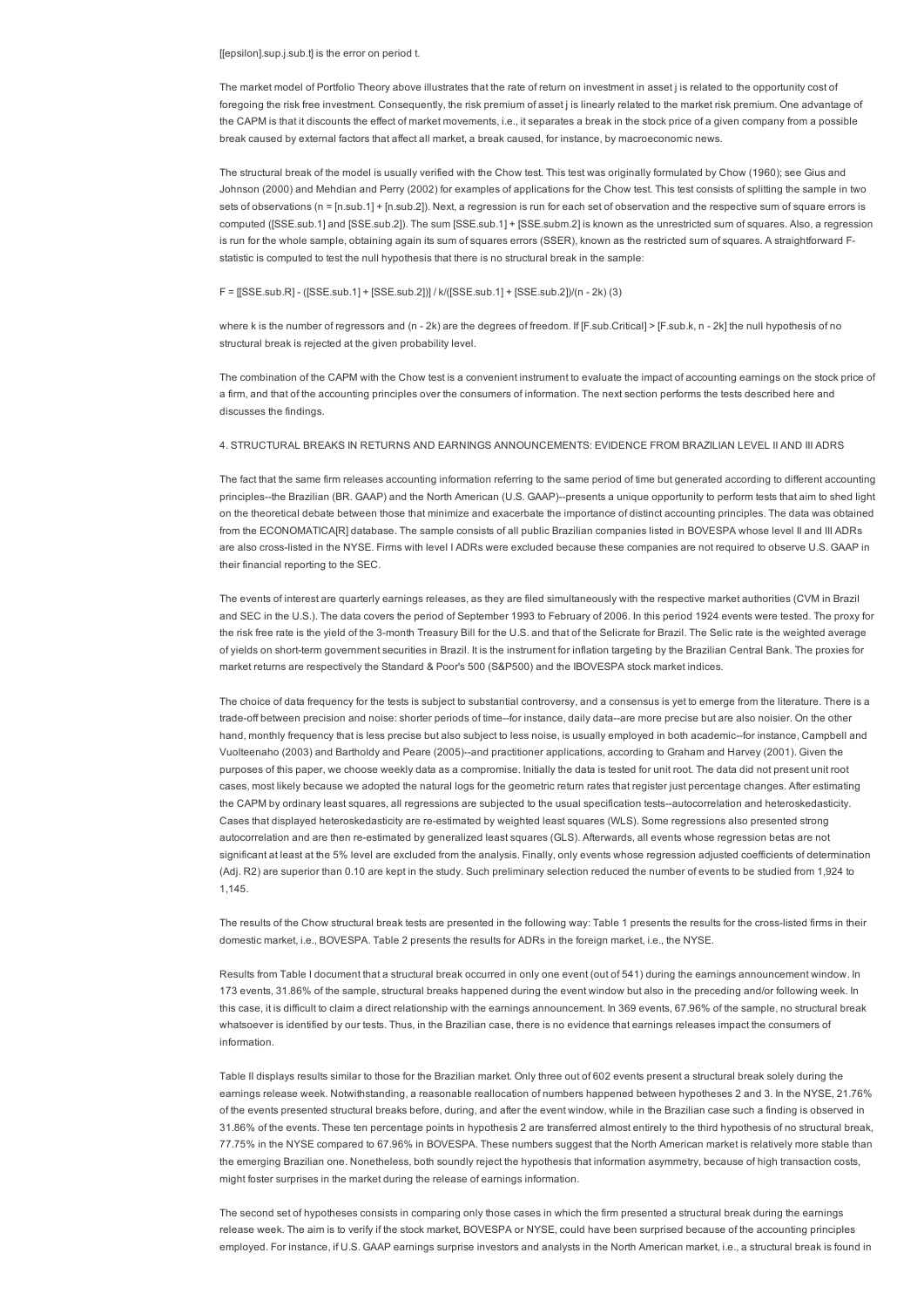### [[epsilon].sup.j.sub.t] is the error on period t.

The market model of Portfolio Theory above illustrates that the rate of return on investment in asset i is related to the opportunity cost of foregoing the risk free investment. Consequently, the risk premium of asset i is linearly related to the market risk premium. One advantage of the CAPM is that it discounts the effect of market movements, i.e., it separates a break in the stock price of a given company from a possible break caused by external factors that affect all market, a break caused, for instance, by macroeconomic news.

The structural break of the model is usually verified with the Chow test. This test was originally formulated by Chow (1960); see Gius and Johnson (2000) and Mehdian and Perry (2002) for examples of applications for the Chow test. This test consists of splitting the sample in two sets of observations (n = [n.sub.1] + [n.sub.2]). Next, a regression is run for each set of observation and the respective sum of square errors is computed ([SSE.sub.1] and [SSE.sub.2]). The sum [SSE.sub.1] + [SSE.subm.2] is known as the unrestricted sum of squares. Also, a regression is run for the whole sample, obtaining again its sum of squares errors (SSER), known as the restricted sum of squares. A straightforward Fstatistic is computed to test the null hypothesis that there is no structural break in the sample:

### F = [[SSE.sub.R] ([SSE.sub.1] + [SSE.sub.2])] / k/([SSE.sub.1] + [SSE.sub.2])/(n 2k) (3)

where k is the number of regressors and (n - 2k) are the degrees of freedom. If [F.sub.Critical] > [F.sub.k, n - 2k] the null hypothesis of no structural break is rejected at the given probability level.

The combination of the CAPM with the Chow test is a convenient instrument to evaluate the impact of accounting earnings on the stock price of a firm, and that of the accounting principles over the consumers of information. The next section performs the tests described here and discusses the findings.

### 4. STRUCTURAL BREAKS IN RETURNS AND EARNINGS ANNOUNCEMENTS: EVIDENCE FROM BRAZILIAN LEVEL II AND III ADRS

The fact that the same firm releases accounting information referring to the same period of time but generated according to different accounting principles--the Brazilian (BR. GAAP) and the North American (U.S. GAAP)--presents a unique opportunity to perform tests that aim to shed light on the theoretical debate between those that minimize and exacerbate the importance of distinct accounting principles. The data was obtained from the ECONOMATICA[R] database. The sample consists of all public Brazilian companies listed in BOVESPA whose level II and III ADRs are also crosslisted in the NYSE. Firms with level I ADRs were excluded because these companies are not required to observe U.S. GAAP in their financial reporting to the SEC.

The events of interest are quarterly earnings releases, as they are filed simultaneously with the respective market authorities (CVM in Brazil and SEC in the U.S.). The data covers the period of September 1993 to February of 2006. In this period 1924 events were tested. The proxy for the risk free rate is the yield of the 3-month Treasury Bill for the U.S. and that of the Selicrate for Brazil. The Selic rate is the weighted average of yields on short-term government securities in Brazil. It is the instrument for inflation targeting by the Brazilian Central Bank. The proxies for market returns are respectively the Standard & Poor's 500 (S&P500) and the IBOVESPA stock market indices.

The choice of data frequency for the tests is subject to substantial controversy, and a consensus is yet to emerge from the literature. There is a trade-off between precision and noise: shorter periods of time--for instance, daily data-are more precise but are also noisier. On the other hand, monthly frequency that is less precise but also subject to less noise, is usually employed in both academic--for instance, Campbell and Vuolteenaho (2003) and Bartholdy and Peare (2005)--and practitioner applications, according to Graham and Harvey (2001). Given the purposes of this paper, we choose weekly data as a compromise. Initially the data is tested for unit root. The data did not present unit root cases, most likely because we adopted the natural logs for the geometric return rates that register just percentage changes. After estimating the CAPM by ordinary least squares, all regressions are subjected to the usual specification tests--autocorrelation and heteroskedasticity. Cases that displayed heteroskedasticity are reestimated by weighted least squares (WLS). Some regressions also presented strong autocorrelation and are then re-estimated by generalized least squares (GLS). Afterwards, all events whose regression betas are not significant at least at the 5% level are excluded from the analysis. Finally, only events whose regression adjusted coefficients of determination (Adj. R2) are superior than 0.10 are kept in the study. Such preliminary selection reduced the number of events to be studied from 1,924 to 1,145.

The results of the Chow structural break tests are presented in the following way: Table 1 presents the results for the cross-listed firms in their domestic market, i.e., BOVESPA. Table 2 presents the results for ADRs in the foreign market, i.e., the NYSE.

Results from Table I document that a structural break occurred in only one event (out of 541) during the earnings announcement window. In 173 events, 31.86% of the sample, structural breaks happened during the event window but also in the preceding and/or following week. In this case, it is difficult to claim a direct relationship with the earnings announcement. In 369 events, 67.96% of the sample, no structural break whatsoever is identified by our tests. Thus, in the Brazilian case, there is no evidence that earnings releases impact the consumers of information.

Table II displays results similar to those for the Brazilian market. Only three out of 602 events present a structural break solely during the earnings release week. Notwithstanding, a reasonable reallocation of numbers happened between hypotheses 2 and 3. In the NYSE, 21.76% of the events presented structural breaks before, during, and after the event window, while in the Brazilian case such a finding is observed in 31.86% of the events. These ten percentage points in hypothesis 2 are transferred almost entirely to the third hypothesis of no structural break, 77.75% in the NYSE compared to 67.96% in BOVESPA. These numbers suggest that the North American market is relatively more stable than the emerging Brazilian one. Nonetheless, both soundly reject the hypothesis that information asymmetry, because of high transaction costs, might foster surprises in the market during the release of earnings information.

The second set of hypotheses consists in comparing only those cases in which the firm presented a structural break during the earnings release week. The aim is to verify if the stock market, BOVESPA or NYSE, could have been surprised because of the accounting principles employed. For instance, if U.S. GAAP earnings surprise investors and analysts in the North American market, i.e., a structural break is found in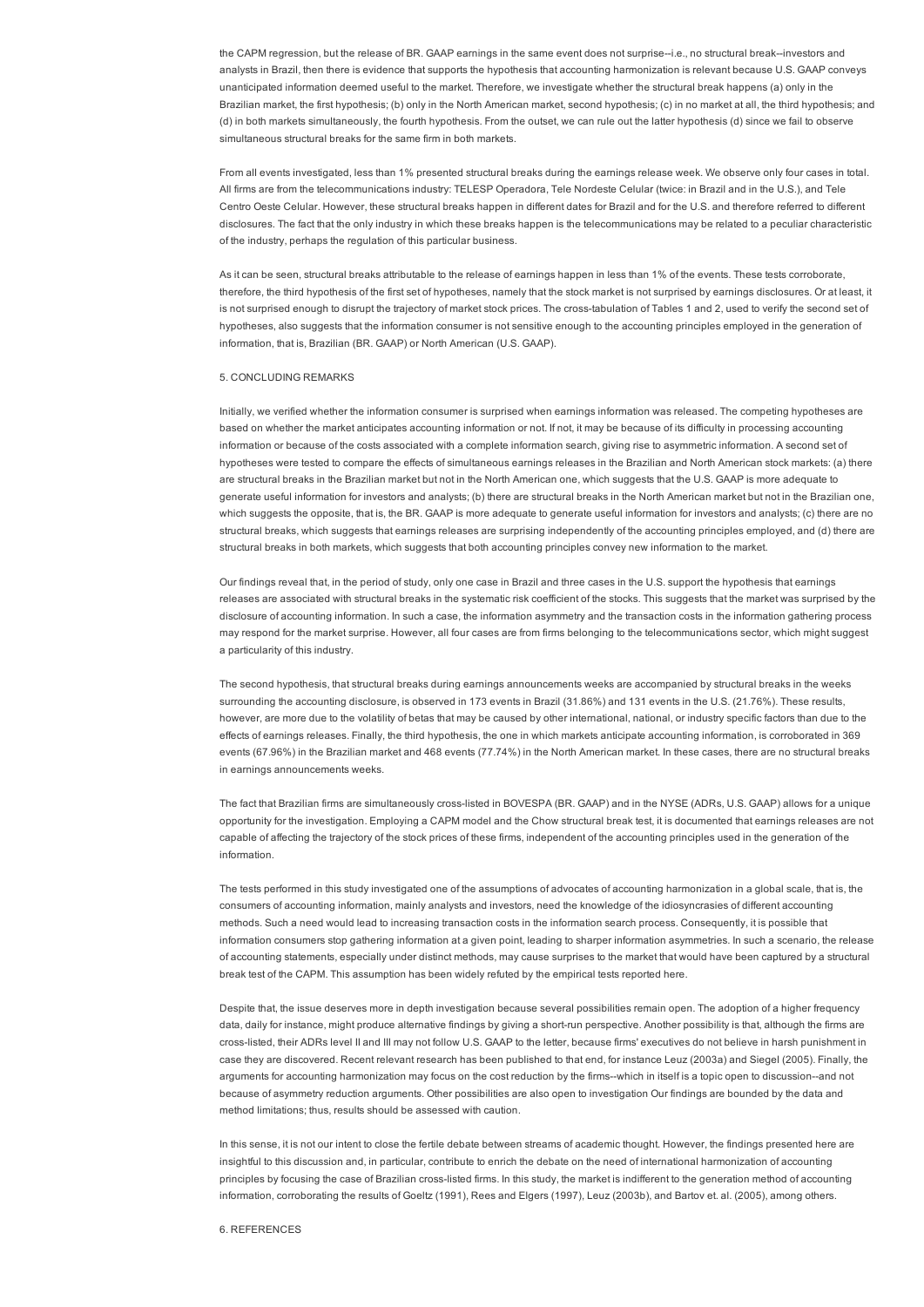the CAPM regression, but the release of BR. GAAP earnings in the same event does not surprise-i.e., no structural break--investors and analysts in Brazil, then there is evidence that supports the hypothesis that accounting harmonization is relevant because U.S. GAAP conveys unanticipated information deemed useful to the market. Therefore, we investigate whether the structural break happens (a) only in the Brazilian market, the first hypothesis; (b) only in the North American market, second hypothesis; (c) in no market at all, the third hypothesis; and (d) in both markets simultaneously, the fourth hypothesis. From the outset, we can rule out the latter hypothesis (d) since we fail to observe simultaneous structural breaks for the same firm in both markets.

From all events investigated, less than 1% presented structural breaks during the earnings release week. We observe only four cases in total. All firms are from the telecommunications industry: TELESP Operadora, Tele Nordeste Celular (twice: in Brazil and in the U.S.), and Tele Centro Oeste Celular. However, these structural breaks happen in different dates for Brazil and for the U.S. and therefore referred to different disclosures. The fact that the only industry in which these breaks happen is the telecommunications may be related to a peculiar characteristic of the industry, perhaps the regulation of this particular business.

As it can be seen, structural breaks attributable to the release of earnings happen in less than 1% of the events. These tests corroborate, therefore, the third hypothesis of the first set of hypotheses, namely that the stock market is not surprised by earnings disclosures. Or at least, it is not surprised enough to disrupt the trajectory of market stock prices. The cross-tabulation of Tables 1 and 2, used to verify the second set of hypotheses, also suggests that the information consumer is not sensitive enough to the accounting principles employed in the generation of information, that is, Brazilian (BR. GAAP) or North American (U.S. GAAP).

#### 5. CONCLUDING REMARKS

Initially, we verified whether the information consumer is surprised when earnings information was released. The competing hypotheses are based on whether the market anticipates accounting information or not. If not, it may be because of its difficulty in processing accounting information or because of the costs associated with a complete information search, giving rise to asymmetric information. A second set of hypotheses were tested to compare the effects of simultaneous earnings releases in the Brazilian and North American stock markets: (a) there are structural breaks in the Brazilian market but not in the North American one, which suggests that the U.S. GAAP is more adequate to generate useful information for investors and analysts; (b) there are structural breaks in the North American market but not in the Brazilian one, which suggests the opposite, that is, the BR. GAAP is more adequate to generate useful information for investors and analysts; (c) there are no structural breaks, which suggests that earnings releases are surprising independently of the accounting principles employed, and (d) there are structural breaks in both markets, which suggests that both accounting principles convey new information to the market.

Our findings reveal that, in the period of study, only one case in Brazil and three cases in the U.S. support the hypothesis that earnings releases are associated with structural breaks in the systematic risk coefficient of the stocks. This suggests that the market was surprised by the disclosure of accounting information. In such a case, the information asymmetry and the transaction costs in the information gathering process may respond for the market surprise. However, all four cases are from firms belonging to the telecommunications sector, which might suggest a particularity of this industry.

The second hypothesis, that structural breaks during earnings announcements weeks are accompanied by structural breaks in the weeks surrounding the accounting disclosure, is observed in 173 events in Brazil (31.86%) and 131 events in the U.S. (21.76%). These results, however, are more due to the volatility of betas that may be caused by other international, national, or industry specific factors than due to the effects of earnings releases. Finally, the third hypothesis, the one in which markets anticipate accounting information, is corroborated in 369 events (67.96%) in the Brazilian market and 468 events (77.74%) in the North American market. In these cases, there are no structural breaks in earnings announcements weeks.

The fact that Brazilian firms are simultaneously cross-listed in BOVESPA (BR, GAAP) and in the NYSE (ADRs, U.S. GAAP) allows for a unique opportunity for the investigation. Employing a CAPM model and the Chow structural break test, it is documented that earnings releases are not capable of affecting the trajectory of the stock prices of these firms, independent of the accounting principles used in the generation of the information.

The tests performed in this study investigated one of the assumptions of advocates of accounting harmonization in a global scale, that is, the consumers of accounting information, mainly analysts and investors, need the knowledge of the idiosyncrasies of different accounting methods. Such a need would lead to increasing transaction costs in the information search process. Consequently, it is possible that information consumers stop gathering information at a given point, leading to sharper information asymmetries. In such a scenario, the release of accounting statements, especially under distinct methods, may cause surprises to the market that would have been captured by a structural break test of the CAPM. This assumption has been widely refuted by the empirical tests reported here.

Despite that, the issue deserves more in depth investigation because several possibilities remain open. The adoption of a higher frequency data, daily for instance, might produce alternative findings by giving a short-run perspective. Another possibility is that, although the firms are crosslisted, their ADRs level II and III may not follow U.S. GAAP to the letter, because firms' executives do not believe in harsh punishment in case they are discovered. Recent relevant research has been published to that end, for instance Leuz (2003a) and Siegel (2005). Finally, the arguments for accounting harmonization may focus on the cost reduction by the firms--which in itself is a topic open to discussion--and not because of asymmetry reduction arguments. Other possibilities are also open to investigation Our findings are bounded by the data and method limitations; thus, results should be assessed with caution.

In this sense, it is not our intent to close the fertile debate between streams of academic thought. However, the findings presented here are insightful to this discussion and, in particular, contribute to enrich the debate on the need of international harmonization of accounting principles by focusing the case of Brazilian crosslisted firms. In this study, the market is indifferent to the generation method of accounting information, corroborating the results of Goeltz (1991), Rees and Elgers (1997), Leuz (2003b), and Bartov et. al. (2005), among others.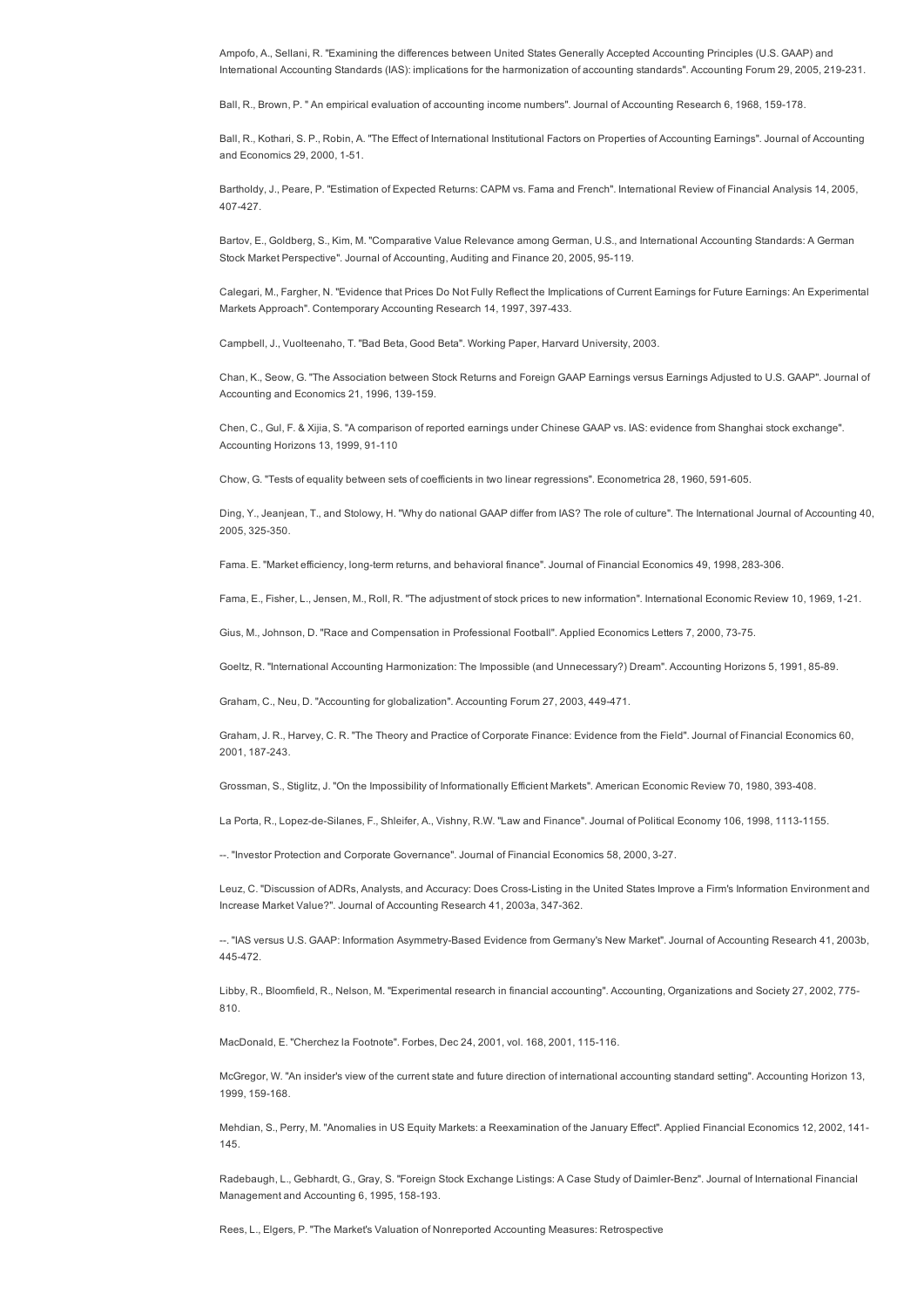Ampofo, A., Sellani, R. "Examining the differences between United States Generally Accepted Accounting Principles (U.S. GAAP) and International Accounting Standards (IAS): implications for the harmonization of accounting standards". Accounting Forum 29, 2005, 219231.

Ball, R., Brown, P. " An empirical evaluation of accounting income numbers". Journal of Accounting Research 6, 1968, 159178.

Ball, R., Kothari, S. P., Robin, A. "The Effect of International Institutional Factors on Properties of Accounting Earnings". Journal of Accounting and Economics 29, 2000, 1-51.

Bartholdy, J., Peare, P. "Estimation of Expected Returns: CAPM vs. Fama and French". International Review of Financial Analysis 14, 2005, 407427.

Bartov, E., Goldberg, S., Kim, M. "Comparative Value Relevance among German, U.S., and International Accounting Standards: A German Stock Market Perspective". Journal of Accounting, Auditing and Finance 20, 2005, 95-119.

Calegari, M., Fargher, N. "Evidence that Prices Do Not Fully Reflect the Implications of Current Earnings for Future Earnings: An Experimental Markets Approach". Contemporary Accounting Research 14, 1997, 397-433.

Campbell, J., Vuolteenaho, T. "Bad Beta, Good Beta". Working Paper, Harvard University, 2003.

Chan, K., Seow, G. "The Association between Stock Returns and Foreign GAAP Earnings versus Earnings Adjusted to U.S. GAAP". Journal of Accounting and Economics 21, 1996, 139-159.

Chen, C., Gul, F. & Xijia, S. "A comparison of reported earnings under Chinese GAAP vs. IAS: evidence from Shanghai stock exchange". Accounting Horizons 13, 1999, 91-110

Chow, G. "Tests of equality between sets of coefficients in two linear regressions". Econometrica 28, 1960, 591-605.

Ding, Y., Jeanjean, T., and Stolowy, H. "Why do national GAAP differ from IAS? The role of culture". The International Journal of Accounting 40, 2005, 325-350.

Fama. E. "Market efficiency, long-term returns, and behavioral finance". Journal of Financial Economics 49, 1998, 283-306.

Fama, E., Fisher, L., Jensen, M., Roll, R. "The adjustment of stock prices to new information". International Economic Review 10, 1969, 121.

Gius, M., Johnson, D. "Race and Compensation in Professional Football". Applied Economics Letters 7, 2000, 7375.

Goeltz, R. "International Accounting Harmonization: The Impossible (and Unnecessary?) Dream". Accounting Horizons 5, 1991, 85-89.

Graham, C., Neu, D. "Accounting for globalization". Accounting Forum 27, 2003, 449-471.

Graham, J. R., Harvey, C. R. "The Theory and Practice of Corporate Finance: Evidence from the Field". Journal of Financial Economics 60, 2001, 187-243.

Grossman, S., Stiglitz, J. "On the Impossibility of Informationally Efficient Markets". American Economic Review 70, 1980, 393408.

La Porta, R., Lopez-de-Silanes, F., Shleifer, A., Vishny, R.W. "Law and Finance". Journal of Political Economy 106, 1998, 1113-1155.

. "Investor Protection and Corporate Governance". Journal of Financial Economics 58, 2000, 327.

Leuz, C. "Discussion of ADRs, Analysts, and Accuracy: Does CrossListing in the United States Improve a Firm's Information Environment and Increase Market Value?". Journal of Accounting Research 41, 2003a, 347-362.

--. "IAS versus U.S. GAAP: Information Asymmetry-Based Evidence from Germany's New Market". Journal of Accounting Research 41, 2003b, 445472.

Libby, R., Bloomfield, R., Nelson, M. "Experimental research in financial accounting". Accounting, Organizations and Society 27, 2002, 775 810.

MacDonald, E. "Cherchez la Footnote". Forbes, Dec 24, 2001, vol. 168, 2001, 115-116.

McGregor, W. "An insider's view of the current state and future direction of international accounting standard setting". Accounting Horizon 13, 1999, 159-168.

Mehdian, S., Perry, M. "Anomalies in US Equity Markets: a Reexamination of the January Effect". Applied Financial Economics 12, 2002, 141 145.

Radebaugh, L., Gebhardt, G., Gray, S. "Foreign Stock Exchange Listings: A Case Study of Daimler-Benz". Journal of International Financial Management and Accounting 6, 1995, 158-193.

Rees, L., Elgers, P. "The Market's Valuation of Nonreported Accounting Measures: Retrospective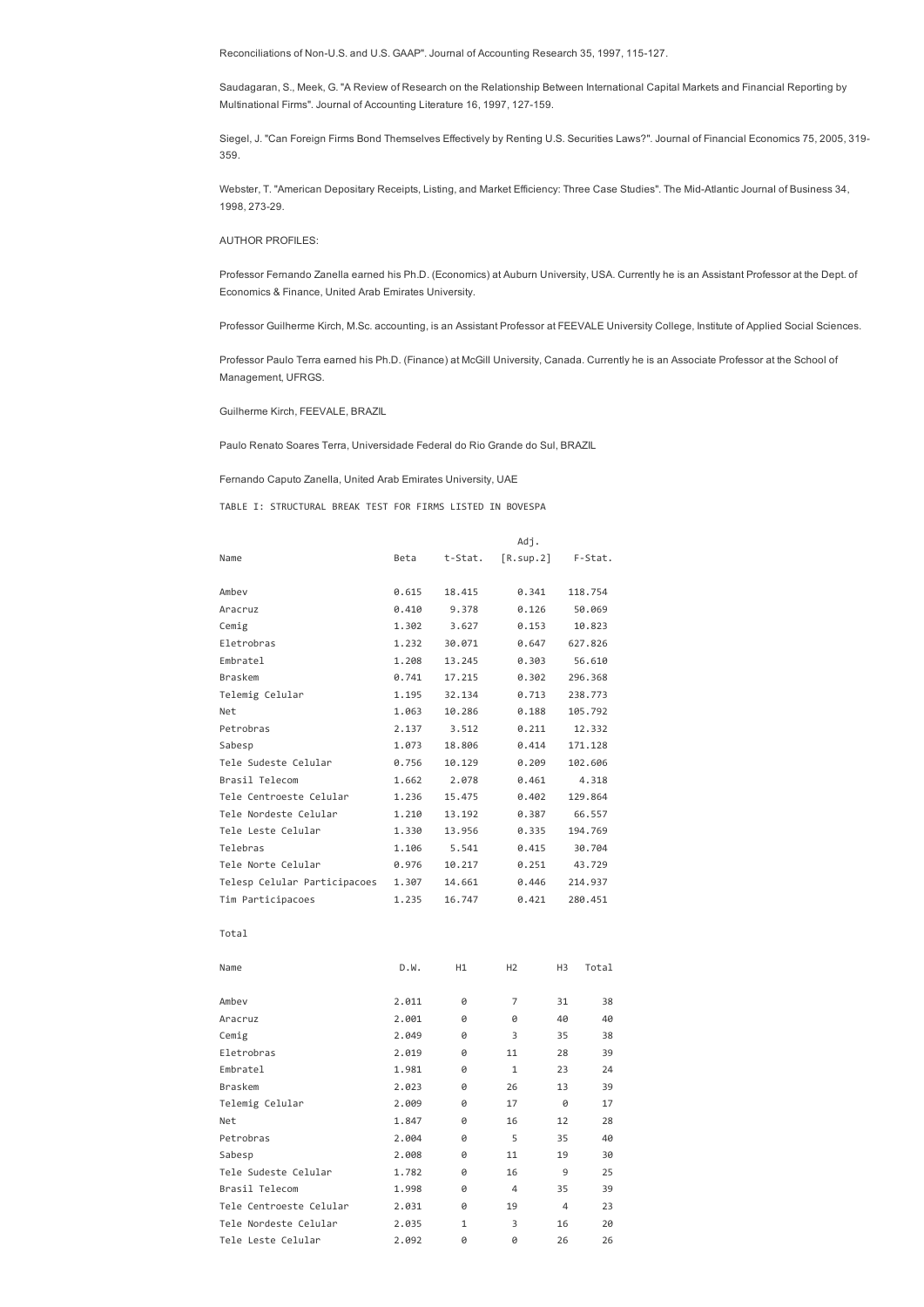Reconciliations of Non-U.S. and U.S. GAAP". Journal of Accounting Research 35, 1997, 115-127.

Saudagaran, S., Meek, G. "A Review of Research on the Relationship Between International Capital Markets and Financial Reporting by Multinational Firms". Journal of Accounting Literature 16, 1997, 127-159.

Siegel, J. "Can Foreign Firms Bond Themselves Effectively by Renting U.S. Securities Laws?". Journal of Financial Economics 75, 2005, 319 359.

Webster, T. "American Depositary Receipts, Listing, and Market Efficiency: Three Case Studies". The Mid-Atlantic Journal of Business 34, 1998, 273-29.

AUTHOR PROFILES:

Professor Fernando Zanella earned his Ph.D. (Economics) at Auburn University, USA. Currently he is an Assistant Professor at the Dept. of Economics & Finance, United Arab Emirates University.

Professor Guilherme Kirch, M.Sc. accounting, is an Assistant Professor at FEEVALE University College, Institute of Applied Social Sciences.

Professor Paulo Terra earned his Ph.D. (Finance) at McGill University, Canada. Currently he is an Associate Professor at the School of Management, UFRGS.

Guilherme Kirch, FEEVALE, BRAZIL

Paulo Renato Soares Terra, Universidade Federal do Rio Grande do Sul, BRAZIL

Fernando Caputo Zanella, United Arab Emirates University, UAE

TABLE I: STRUCTURAL BREAK TEST FOR FIRMS LISTED IN BOVESPA

|                              |       |         | Adj.           |        |         |  |
|------------------------------|-------|---------|----------------|--------|---------|--|
| Name                         | Beta  | t-Stat. | [R.sup.2]      |        | F-Stat. |  |
| Ambev                        | 0.615 | 18.415  | 0.341          |        | 118.754 |  |
| Aracruz                      | 0.410 | 9.378   | 0.126          |        | 50.069  |  |
| Cemig                        | 1.302 | 3.627   | 0.153          |        | 10.823  |  |
| Eletrobras                   | 1.232 | 30.071  | 0.647          |        | 627.826 |  |
| Embratel                     | 1.208 | 13.245  | 0.303          |        | 56.610  |  |
| <b>Braskem</b>               | 0.741 | 17.215  | 0.302          |        | 296.368 |  |
| Telemig Celular              | 1.195 | 32.134  | 0.713          |        | 238.773 |  |
| Net                          | 1.063 | 10.286  | 0.188          |        | 105.792 |  |
| Petrobras                    | 2.137 | 3.512   | 0.211          |        | 12.332  |  |
| Sabesp                       | 1.073 | 18.806  | 0.414          |        | 171.128 |  |
| Tele Sudeste Celular         | 0.756 | 10.129  | 0.209          |        | 102.606 |  |
| Brasil Telecom               | 1.662 | 2.078   | 0.461          |        | 4.318   |  |
| Tele Centroeste Celular      | 1.236 | 15.475  | 0.402          |        | 129.864 |  |
| Tele Nordeste Celular        | 1.210 | 13.192  | 0.387          |        | 66.557  |  |
| Tele Leste Celular           | 1.330 | 13.956  | 0.335          |        | 194.769 |  |
| Telebras                     | 1.106 | 5.541   | 0.415          | 30.704 |         |  |
| Tele Norte Celular           | 0.976 | 10.217  | 0.251          | 43.729 |         |  |
| Telesp Celular Participacoes | 1.307 | 14.661  | 0.446          |        | 214.937 |  |
| Tim Participacoes            | 1.235 | 16.747  | 0.421          |        | 280.451 |  |
| Total                        |       |         |                |        |         |  |
| Name                         | D.W.  | H1      | H2             | H3     | Total   |  |
| Ambev                        | 2.011 | 0       | 7              | 31     | 38      |  |
| Aracruz                      | 2.001 | Ø       | 0              | 40     | 40      |  |
| Cemig                        | 2.049 | 0       | 3              | 35     | 38      |  |
| Eletrobras                   | 2.019 | 0       | 11             | 28     | 39      |  |
| Embratel                     | 1.981 | Ø       | $\mathbf{1}$   | 23     | 24      |  |
| <b>Braskem</b>               | 2.023 | 0       | 26             | 13     | 39      |  |
| Telemig Celular              | 2.009 | 0       | 17             | 0      | 17      |  |
| Net                          | 1.847 | Ø       | 16             | 12     | 28      |  |
| Petrobras                    | 2.004 | Ø       | 5              | 35     | 40      |  |
| Sabesp                       | 2.008 | Ø       | 11             | 19     | 30      |  |
| Tele Sudeste Celular         | 1.782 | 0       | 16             | 9      | 25      |  |
| Brasil Telecom               | 1.998 | Ø       | $\overline{4}$ | 35     | 39      |  |
| Tele Centroeste Celular      | 2.031 | 0       | 19             | 4      | 23      |  |
| Tele Nordeste Celular        | 2.035 | 1       | 3              | 16     | 20      |  |
| Tele Leste Celular           | 2.092 | Ø       | Ø              | 26     | 26      |  |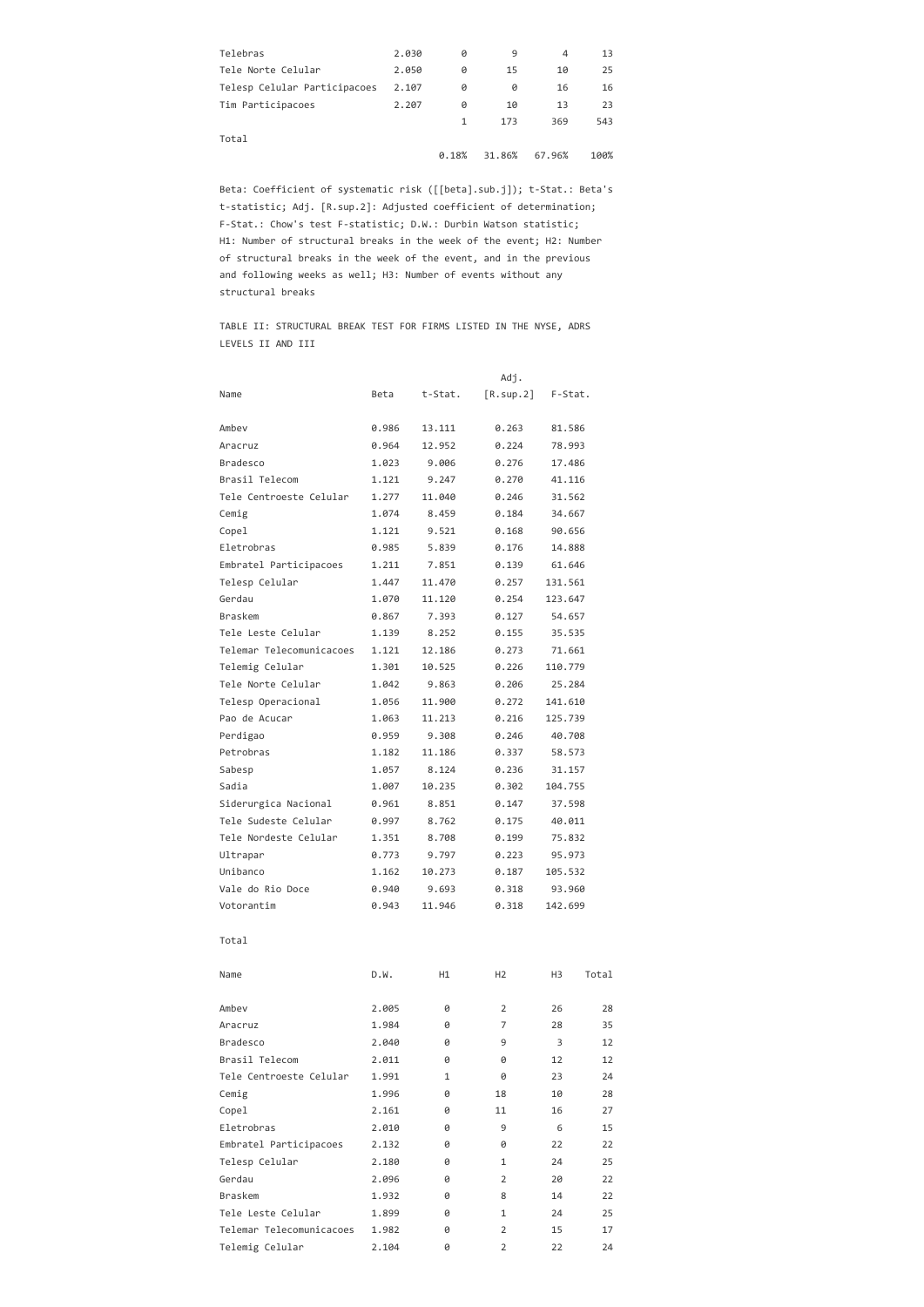| Telebras                     | 2.030 | Ø     | 9      | 4      | 13   |
|------------------------------|-------|-------|--------|--------|------|
| Tele Norte Celular           | 2.050 | Ø     | 15     | 10     | 25   |
| Telesp Celular Participacoes | 2.107 | ø     | ø      | 16     | 16   |
| Tim Participacoes            | 2.207 | ø     | 10     | 13     | 23   |
|                              |       | 1     | 173    | 369    | 543  |
| Total                        |       |       |        |        |      |
|                              |       | 0.18% | 31.86% | 67.96% | 100% |
|                              |       |       |        |        |      |

Beta: Coefficient of systematic risk ([[beta].sub.j]); t‐Stat.: Beta's t‐statistic; Adj. [R.sup.2]: Adjusted coefficient of determination; F‐Stat.: Chow's test F‐statistic; D.W.: Durbin Watson statistic; H1: Number of structural breaks in the week of the event; H2: Number of structural breaks in the week of the event, and in the previous and following weeks as well; H3: Number of events without any structural breaks

TABLE II: STRUCTURAL BREAK TEST FOR FIRMS LISTED IN THE NYSE, ADRS LEVELS II AND III

|                          |       |         | Adj.           |         |       |
|--------------------------|-------|---------|----------------|---------|-------|
| Name                     | Beta  | t-Stat. | [R.sup.2]      | F-Stat. |       |
| Ambev                    | 0.986 | 13.111  | 0.263          | 81.586  |       |
| Aracruz                  | 0.964 | 12.952  | 0.224          | 78.993  |       |
| Bradesco                 | 1.023 | 9.006   | 0.276          | 17.486  |       |
| Brasil Telecom           | 1.121 | 9.247   | 0.270          | 41.116  |       |
| Tele Centroeste Celular  | 1.277 | 11.040  | 0.246          | 31.562  |       |
| Cemig                    | 1.074 | 8.459   | 0.184          | 34.667  |       |
| Copel                    | 1.121 | 9.521   | 0.168          | 90.656  |       |
| Eletrobras               | 0.985 | 5.839   | 0.176          | 14.888  |       |
| Embratel Participacoes   | 1.211 | 7.851   | 0.139          | 61.646  |       |
| Telesp Celular           | 1.447 | 11.470  | 0.257          | 131.561 |       |
| Gerdau                   | 1.070 | 11.120  | 0.254          | 123.647 |       |
| Braskem                  | 0.867 | 7.393   | 0.127          | 54.657  |       |
| Tele Leste Celular       | 1.139 | 8.252   | 0.155          | 35.535  |       |
| Telemar Telecomunicacoes | 1.121 | 12.186  | 0.273          | 71.661  |       |
| Telemig Celular          | 1.301 | 10.525  | 0.226          | 110.779 |       |
| Tele Norte Celular       | 1.042 | 9.863   | 0.206          | 25.284  |       |
| Telesp Operacional       | 1.056 | 11.900  | 0.272          | 141.610 |       |
| Pao de Acucar            | 1.063 | 11.213  | 0.216          | 125.739 |       |
| Perdigao                 | 0.959 | 9.308   | 0.246          | 40.708  |       |
| Petrobras                | 1.182 | 11.186  | 0.337          | 58.573  |       |
| Sabesp                   | 1.057 | 8.124   | 0.236          | 31.157  |       |
| Sadia                    | 1.007 | 10.235  | 0.302          | 104.755 |       |
| Siderurgica Nacional     | 0.961 | 8.851   | 0.147          | 37.598  |       |
| Tele Sudeste Celular     | 0.997 | 8.762   | 0.175          | 40.011  |       |
| Tele Nordeste Celular    | 1.351 | 8.708   | 0.199          | 75.832  |       |
| Ultrapar                 | 0.773 | 9.797   | 0.223          | 95.973  |       |
| Unibanco                 | 1.162 | 10.273  | 0.187          | 105.532 |       |
| Vale do Rio Doce         | 0.940 | 9.693   | 0.318          | 93.960  |       |
| Votorantim               | 0.943 | 11.946  | 0.318          | 142.699 |       |
| Total                    |       |         |                |         |       |
| Name                     | D.W.  | H1      | H <sub>2</sub> | H3      | Total |
| Ambev                    | 2.005 | 0       | 2              | 26      | 28    |
| Aracruz                  | 1.984 | 0       | 7              | 28      | 35    |
| <b>Bradesco</b>          | 2.040 | 0       | 9              | 3       | 12    |
| Brasil Telecom           | 2.011 | 0       | 0              | 12      | 12    |
| Tele Centroeste Celular  | 1.991 | 1       | 0              | 23      | 24    |
| Cemig                    | 1.996 | 0       | 18             | 10      | 28    |
| Copel                    | 2.161 | 0       | 11             | 16      | 27    |
| Eletrobras               | 2.010 | 0       | 9              | 6       | 15    |
| Embratel Participacoes   | 2.132 | 0       | 0              | 22      | 22    |
| Telesp Celular           | 2.180 | 0       | $\mathbf{1}$   | 24      | 25    |
| Gerdau                   | 2.096 | 0       | 2              | 20      | 22    |
| Braskem                  | 1.932 | 0       | 8              | 14      | 22    |
| Tele Leste Celular       | 1.899 | 0       | $\mathbf{1}$   | 24      | 25    |
| Telemar Telecomunicacoes | 1.982 | 0       | 2              | 15      | 17    |
| Telemig Celular          | 2.104 | 0       | $\overline{2}$ | 22      | 24    |